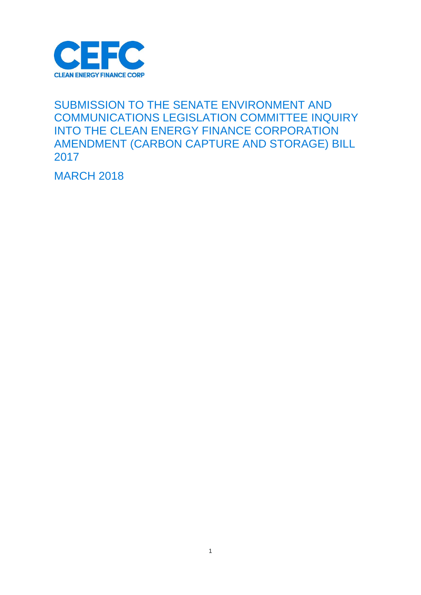

### SUBMISSION TO THE SENATE ENVIRONMENT AND COMMUNICATIONS LEGISLATION COMMITTEE INQUIRY INTO THE CLEAN ENERGY FINANCE CORPORATION AMENDMENT (CARBON CAPTURE AND STORAGE) BILL 2017

**MARCH 2018**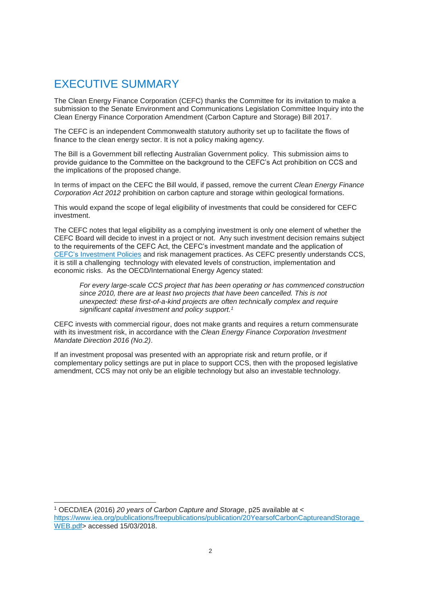## EXECUTIVE SUMMARY

 $\overline{a}$ 

The Clean Energy Finance Corporation (CEFC) thanks the Committee for its invitation to make a submission to the Senate Environment and Communications Legislation Committee Inquiry into the Clean Energy Finance Corporation Amendment (Carbon Capture and Storage) Bill 2017.

The CEFC is an independent Commonwealth statutory authority set up to facilitate the flows of finance to the clean energy sector. It is not a policy making agency.

The Bill is a Government bill reflecting Australian Government policy. This submission aims to provide guidance to the Committee on the background to the CEFC's Act prohibition on CCS and the implications of the proposed change.

In terms of impact on the CEFC the Bill would, if passed, remove the current *Clean Energy Finance Corporation Act 2012* prohibition on carbon capture and storage within geological formations.

This would expand the scope of legal eligibility of investments that could be considered for CEFC investment.

The CEFC notes that legal eligibility as a complying investment is only one element of whether the CEFC Board will decide to invest in a project or not. Any such investment decision remains subject to the requirements of the CEFC Act, the CEFC's investment mandate and the application of [CEFC's Investment Policies](https://www.cefc.com.au/media/328406/CEFC-Investment-Policies-June-2017.pdf) and risk management practices. As CEFC presently understands CCS, it is still a challenging technology with elevated levels of construction, implementation and economic risks. As the OECD/International Energy Agency stated:

*For every large-scale CCS project that has been operating or has commenced construction since 2010, there are at least two projects that have been cancelled. This is not unexpected: these first-of-a-kind projects are often technically complex and require significant capital investment and policy support. 1*

CEFC invests with commercial rigour, does not make grants and requires a return commensurate with its investment risk, in accordance with the *Clean Energy Finance Corporation Investment Mandate Direction 2016 (No.2)*.

If an investment proposal was presented with an appropriate risk and return profile, or if complementary policy settings are put in place to support CCS, then with the proposed legislative amendment, CCS may not only be an eligible technology but also an investable technology.

<sup>1</sup> OECD/IEA (2016) *20 years of Carbon Capture and Storage*, p25 available at < https://www.iea.org/publications/freepublications/publication/20YearsofCarbonCaptureandStorage [WEB.pdf>](https://www.iea.org/publications/freepublications/publication/20YearsofCarbonCaptureandStorage_WEB.pdf) accessed 15/03/2018.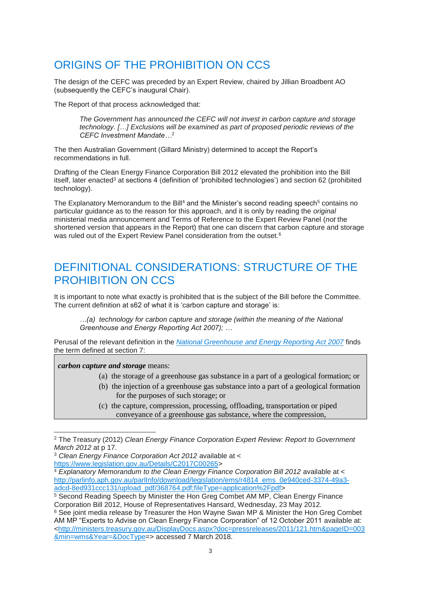# ORIGINS OF THE PROHIBITION ON CCS

The design of the CEFC was preceded by an Expert Review, chaired by Jillian Broadbent AO (subsequently the CEFC's inaugural Chair).

The Report of that process acknowledged that:

*The Government has announced the CEFC will not invest in carbon capture and storage technology. […] Exclusions will be examined as part of proposed periodic reviews of the CEFC Investment Mandate…*<sup>2</sup>

The then Australian Government (Gillard Ministry) determined to accept the Report's recommendations in full.

Drafting of the Clean Energy Finance Corporation Bill 2012 elevated the prohibition into the Bill itself, later enacted<sup>3</sup> at sections 4 (definition of 'prohibited technologies') and section 62 (prohibited technology).

The Explanatory Memorandum to the Bill<sup>4</sup> and the Minister's second reading speech<sup>5</sup> contains no particular guidance as to the reason for this approach, and it is only by reading the *original*  ministerial media announcement and Terms of Reference to the Expert Review Panel (*not* the shortened version that appears in the Report) that one can discern that carbon capture and storage was ruled out of the Expert Review Panel consideration from the outset.<sup>6</sup>

## DEFINITIONAL CONSIDERATIONS: STRUCTURE OF THE PROHIBITION ON CCS

It is important to note what exactly is prohibited that is the subject of the Bill before the Committee. The current definition at s62 of what it is 'carbon capture and storage' is:

*…(a) technology for carbon capture and storage (within the meaning of the National Greenhouse and Energy Reporting Act 2007); …*

Perusal of the relevant definition in the *National Greenhouse [and Energy Reporting Act 2007](https://www.legislation.gov.au/Details/C2017C00054)* finds the term defined at section 7:

*carbon capture and storage* means:

 $\overline{a}$ 

- (a) the storage of a greenhouse gas substance in a part of a geological formation; or
- (b) the injection of a greenhouse gas substance into a part of a geological formation for the purposes of such storage; or
- (c) the capture, compression, processing, offloading, transportation or piped conveyance of a greenhouse gas substance, where the compression,

<sup>2</sup> The Treasury (2012) *Clean Energy Finance Corporation Expert Review: Report to Government March 2012* at p 17.

<sup>3</sup> *Clean Energy Finance Corporation Act 2012* available at < [https://www.legislation.gov.au/Details/C2017C00265>](https://www.legislation.gov.au/Details/C2017C00265)

<sup>&</sup>lt;sup>4</sup> Explanatory Memorandum to the Clean Energy Finance Corporation Bill 2012 available at < [http://parlinfo.aph.gov.au/parlInfo/download/legislation/ems/r4814\\_ems\\_0e940ced-3374-49a3](http://parlinfo.aph.gov.au/parlInfo/download/legislation/ems/r4814_ems_0e940ced-3374-49a3-adcd-8ed931ccc131/upload_pdf/368764.pdf;fileType=application%2Fpdf) [adcd-8ed931ccc131/upload\\_pdf/368764.pdf;fileType=application%2Fpdf>](http://parlinfo.aph.gov.au/parlInfo/download/legislation/ems/r4814_ems_0e940ced-3374-49a3-adcd-8ed931ccc131/upload_pdf/368764.pdf;fileType=application%2Fpdf)

<sup>5</sup> Second Reading Speech by Minister the Hon Greg Combet AM MP, Clean Energy Finance Corporation Bill 2012, House of Representatives Hansard, Wednesday, 23 May 2012.

<sup>&</sup>lt;sup>6</sup> See joint media release by Treasurer the Hon Wayne Swan MP & Minister the Hon Greg Combet AM MP "Experts to Advise on Clean Energy Finance Corporation" of 12 October 2011 available at: [<http://ministers.treasury.gov.au/DisplayDocs.aspx?doc=pressreleases/2011/121.htm&pageID=003](http://ministers.treasury.gov.au/DisplayDocs.aspx?doc=pressreleases/2011/121.htm&pageID=003&min=wms&Year=&DocType) [&min=wms&Year=&DocType=](http://ministers.treasury.gov.au/DisplayDocs.aspx?doc=pressreleases/2011/121.htm&pageID=003&min=wms&Year=&DocType)> accessed 7 March 2018.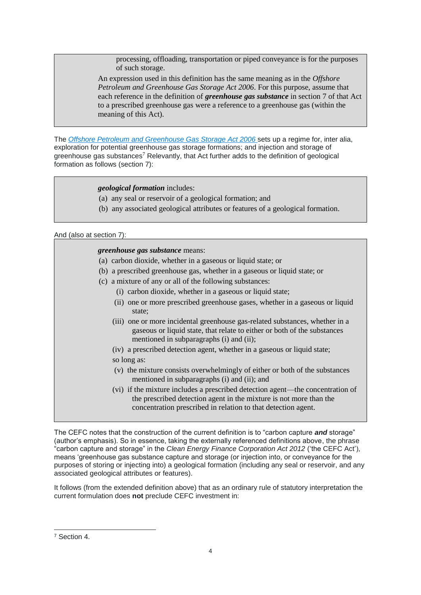processing, offloading, transportation or piped conveyance is for the purposes of such storage.

An expression used in this definition has the same meaning as in the *Offshore Petroleum and Greenhouse Gas Storage Act 2006*. For this purpose, assume that each reference in the definition of *greenhouse gas substance* in section 7 of that Act to a prescribed greenhouse gas were a reference to a greenhouse gas (within the meaning of this Act).

The *[Offshore Petroleum and Greenhouse Gas Storage Act 2006](https://www.legislation.gov.au/Details/C2017C00051)* sets up a regime for, inter alia, exploration for potential greenhouse gas storage formations; and injection and storage of greenhouse gas substances<sup>7</sup> Relevantly, that Act further adds to the definition of geological formation as follows (section 7):

#### *geological formation* includes:

- (a) any seal or reservoir of a geological formation; and
- (b) any associated geological attributes or features of a geological formation.

#### And (also at section 7):

#### *greenhouse gas substance* means:

- (a) carbon dioxide, whether in a gaseous or liquid state; or
- (b) a prescribed greenhouse gas, whether in a gaseous or liquid state; or
- (c) a mixture of any or all of the following substances:
	- (i) carbon dioxide, whether in a gaseous or liquid state;
	- (ii) one or more prescribed greenhouse gases, whether in a gaseous or liquid state;
	- (iii) one or more incidental greenhouse gas-related substances, whether in a gaseous or liquid state, that relate to either or both of the substances mentioned in subparagraphs (i) and (ii);
	- (iv) a prescribed detection agent, whether in a gaseous or liquid state;
	- so long as:
	- (v) the mixture consists overwhelmingly of either or both of the substances mentioned in subparagraphs (i) and (ii); and
	- (vi) if the mixture includes a prescribed detection agent—the concentration of the prescribed detection agent in the mixture is not more than the concentration prescribed in relation to that detection agent.

The CEFC notes that the construction of the current definition is to "carbon capture *and* storage" (author's emphasis). So in essence, taking the externally referenced definitions above, the phrase "carbon capture and storage" in the *Clean Energy Finance Corporation Act 2012* ('the CEFC Act'), means 'greenhouse gas substance capture and storage (or injection into, or conveyance for the purposes of storing or injecting into) a geological formation (including any seal or reservoir, and any associated geological attributes or features).

It follows (from the extended definition above) that as an ordinary rule of statutory interpretation the current formulation does **not** preclude CEFC investment in:

 $\overline{a}$ 

<sup>7</sup> Section 4.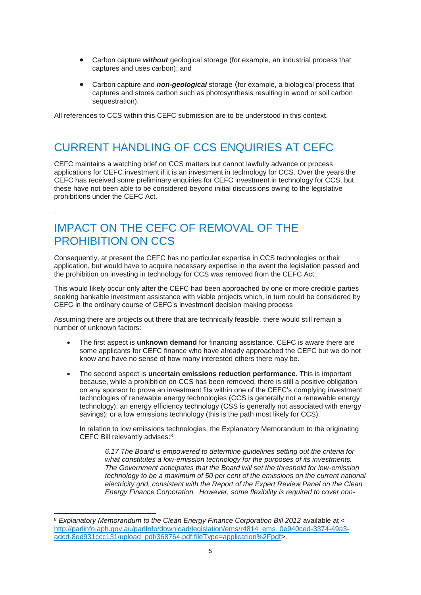- Carbon capture *without* geological storage (for example, an industrial process that captures and uses carbon); and
- Carbon capture and *non-geological* storage (for example, a biological process that captures and stores carbon such as photosynthesis resulting in wood or soil carbon sequestration).

All references to CCS within this CEFC submission are to be understood in this context.

### CURRENT HANDLING OF CCS ENQUIRIES AT CEFC

CEFC maintains a watching brief on CCS matters but cannot lawfully advance or process applications for CEFC investment if it is an investment in technology for CCS. Over the years the CEFC has received some preliminary enquiries for CEFC investment in technology for CCS, but these have not been able to be considered beyond initial discussions owing to the legislative prohibitions under the CEFC Act.

### IMPACT ON THE CEFC OF REMOVAL OF THE PROHIBITION ON CCS

.

 $\overline{a}$ 

Consequently, at present the CEFC has no particular expertise in CCS technologies or their application, but would have to acquire necessary expertise in the event the legislation passed and the prohibition on investing in technology for CCS was removed from the CEFC Act.

This would likely occur only after the CEFC had been approached by one or more credible parties seeking bankable investment assistance with viable projects which, in turn could be considered by CEFC in the ordinary course of CEFC's investment decision making process

Assuming there are projects out there that are technically feasible, there would still remain a number of unknown factors:

- The first aspect is **unknown demand** for financing assistance. CEFC is aware there are some applicants for CEFC finance who have already approached the CEFC but we do not know and have no sense of how many interested others there may be.
- The second aspect is **uncertain emissions reduction performance**. This is important because, while a prohibition on CCS has been removed, there is still a positive obligation on any sponsor to prove an investment fits within one of the CEFC's complying investment technologies of renewable energy technologies (CCS is generally not a renewable energy technology); an energy efficiency technology (CSS is generally not associated with energy savings); or a low emissions technology (this is the path most likely for CCS).

In relation to low emissions technologies, the Explanatory Memorandum to the originating CEFC Bill relevantly advises:<sup>8</sup>

*6.17 The Board is empowered to determine guidelines setting out the criteria for what constitutes a low-emission technology for the purposes of its investments. The Government anticipates that the Board will set the threshold for low-emission technology to be a maximum of 50 per cent of the emissions on the current national electricity grid, consistent with the Report of the Expert Review Panel on the Clean Energy Finance Corporation. However, some flexibility is required to cover non-*

<sup>8</sup> *Explanatory Memorandum to the Clean Energy Finance Corporation Bill 2012* available at < [http://parlinfo.aph.gov.au/parlInfo/download/legislation/ems/r4814\\_ems\\_0e940ced-3374-49a3](http://parlinfo.aph.gov.au/parlInfo/download/legislation/ems/r4814_ems_0e940ced-3374-49a3-adcd-8ed931ccc131/upload_pdf/368764.pdf;fileType=application%2Fpdf) [adcd-8ed931ccc131/upload\\_pdf/368764.pdf;fileType=application%2Fpdf>](http://parlinfo.aph.gov.au/parlInfo/download/legislation/ems/r4814_ems_0e940ced-3374-49a3-adcd-8ed931ccc131/upload_pdf/368764.pdf;fileType=application%2Fpdf).